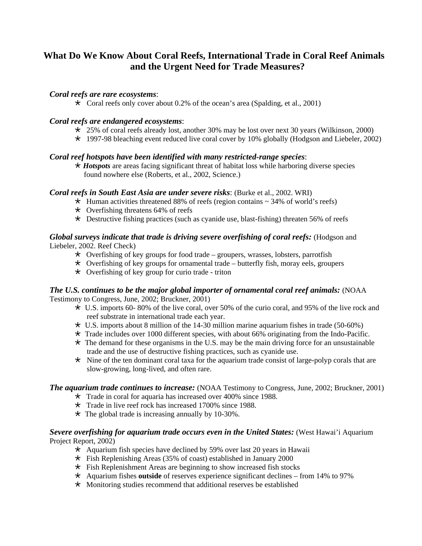# **What Do We Know About Coral Reefs, International Trade in Coral Reef Animals and the Urgent Need for Trade Measures?**

## *Coral reefs are rare ecosystems*:

 $\star$  Coral reefs only cover about 0.2% of the ocean's area (Spalding, et al., 2001)

#### *Coral reefs are endangered ecosystems*:

- $\star$  25% of coral reefs already lost, another 30% may be lost over next 30 years (Wilkinson, 2000)
- $\star$  1997-98 bleaching event reduced live coral cover by 10% globally (Hodgson and Liebeler, 2002)

#### *Coral reef hotspots have been identified with many restricted-range species*:

¸ *Hotspots* are areas facing significant threat of habitat loss while harboring diverse species found nowhere else (Roberts, et al., 2002, Science.)

#### *Coral reefs in South East Asia are under severe risks*: (Burke et al., 2002. WRI)

- $\star$  Human activities threatened 88% of reefs (region contains  $\sim$  34% of world's reefs)
- $\star$  Overfishing threatens 64% of reefs
- $\star$  Destructive fishing practices (such as cyanide use, blast-fishing) threaten 56% of reefs

#### *Global surveys indicate that trade is driving severe overfishing of coral reefs:* (Hodgson and Liebeler, 2002. Reef Check)

- $\star$  Overfishing of key groups for food trade groupers, wrasses, lobsters, parrotfish
- $\star$  Overfishing of key groups for ornamental trade butterfly fish, moray eels, groupers
- $\star$  Overfishing of key group for curio trade triton

#### *The U.S. continues to be the major global importer of ornamental coral reef animals:* (NOAA Testimony to Congress, June, 2002; Bruckner, 2001)

- $\star$  U.S. imports 60-80% of the live coral, over 50% of the curio coral, and 95% of the live rock and reef substrate in international trade each year.
- $\star$  U.S. imports about 8 million of the 14-30 million marine aquarium fishes in trade (50-60%)
- $\star$  Trade includes over 1000 different species, with about 66% originating from the Indo-Pacific.
- $\star$  The demand for these organisms in the U.S. may be the main driving force for an unsustainable trade and the use of destructive fishing practices, such as cyanide use.
- $\star$  Nine of the ten dominant coral taxa for the aquarium trade consist of large-polyp corals that are slow-growing, long-lived, and often rare.

#### *The aquarium trade continues to increase:* (NOAA Testimony to Congress, June, 2002; Bruckner, 2001)

- $\star$  Trade in coral for aquaria has increased over 400% since 1988.
- $\star$  Trade in live reef rock has increased 1700% since 1988.
- $\star$  The global trade is increasing annually by 10-30%.

#### *Severe overfishing for aquarium trade occurs even in the United States:* (West Hawai'i Aquarium Project Report, 2002)

- $\star$  Aquarium fish species have declined by 59% over last 20 years in Hawaii
- $\star$  Fish Replenishing Areas (35% of coast) established in January 2000
- $\star$  Fish Replenishment Areas are beginning to show increased fish stocks
- ¸ Aquarium fishes **outside** of reserves experience significant declines from 14% to 97%
- $\star$  Monitoring studies recommend that additional reserves be established